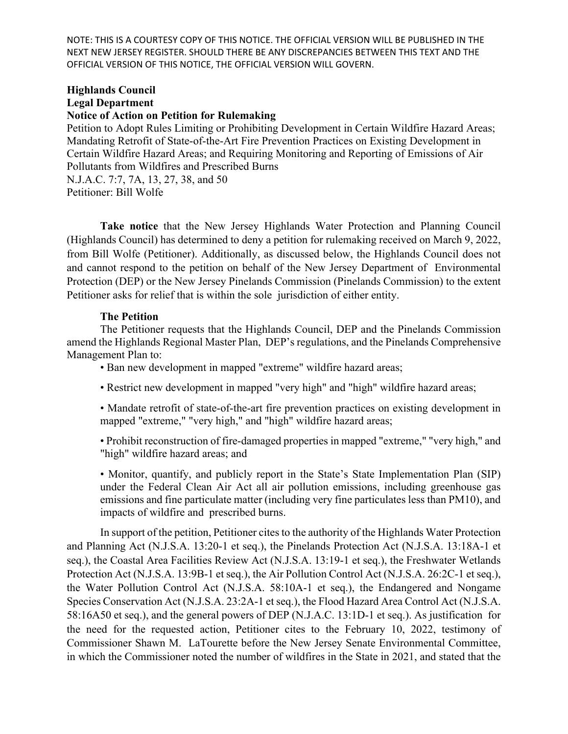NOTE: THIS IS A COURTESY COPY OF THIS NOTICE. THE OFFICIAL VERSION WILL BE PUBLISHED IN THE NEXT NEW JERSEY REGISTER. SHOULD THERE BE ANY DISCREPANCIES BETWEEN THIS TEXT AND THE OFFICIAL VERSION OF THIS NOTICE, THE OFFICIAL VERSION WILL GOVERN.

## **Highlands Council Legal Department**

## **Notice of Action on Petition for Rulemaking**

Petition to Adopt Rules Limiting or Prohibiting Development in Certain Wildfire Hazard Areas; Mandating Retrofit of State-of-the-Art Fire Prevention Practices on Existing Development in Certain Wildfire Hazard Areas; and Requiring Monitoring and Reporting of Emissions of Air Pollutants from Wildfires and Prescribed Burns N.J.A.C. 7:7, 7A, 13, 27, 38, and 50

Petitioner: Bill Wolfe

**Take notice** that the New Jersey Highlands Water Protection and Planning Council (Highlands Council) has determined to deny a petition for rulemaking received on March 9, 2022, from Bill Wolfe (Petitioner). Additionally, as discussed below, the Highlands Council does not and cannot respond to the petition on behalf of the New Jersey Department of Environmental Protection (DEP) or the New Jersey Pinelands Commission (Pinelands Commission) to the extent Petitioner asks for relief that is within the sole jurisdiction of either entity.

## **The Petition**

The Petitioner requests that the Highlands Council, DEP and the Pinelands Commission amend the Highlands Regional Master Plan, DEP's regulations, and the Pinelands Comprehensive Management Plan to:

• Ban new development in mapped "extreme" wildfire hazard areas;

- Restrict new development in mapped "very high" and "high" wildfire hazard areas;
- Mandate retrofit of state-of-the-art fire prevention practices on existing development in mapped "extreme," "very high," and "high" wildfire hazard areas;
- Prohibit reconstruction of fire-damaged properties in mapped "extreme," "very high," and "high" wildfire hazard areas; and

• Monitor, quantify, and publicly report in the State's State Implementation Plan (SIP) under the Federal Clean Air Act all air pollution emissions, including greenhouse gas emissions and fine particulate matter (including very fine particulates less than PM10), and impacts of wildfire and prescribed burns.

In support of the petition, Petitioner cites to the authority of the Highlands Water Protection and Planning Act (N.J.S.A. 13:20-1 et seq.), the Pinelands Protection Act (N.J.S.A. 13:18A-1 et seq.), the Coastal Area Facilities Review Act (N.J.S.A. 13:19-1 et seq.), the Freshwater Wetlands Protection Act (N.J.S.A. 13:9B-1 et seq.), the Air Pollution Control Act (N.J.S.A. 26:2C-1 et seq.), the Water Pollution Control Act (N.J.S.A. 58:10A-1 et seq.), the Endangered and Nongame Species Conservation Act (N.J.S.A. 23:2A-1 et seq.), the Flood Hazard Area Control Act (N.J.S.A. 58:16A50 et seq.), and the general powers of DEP (N.J.A.C. 13:1D-1 et seq.). As justification for the need for the requested action, Petitioner cites to the February 10, 2022, testimony of Commissioner Shawn M. LaTourette before the New Jersey Senate Environmental Committee, in which the Commissioner noted the number of wildfires in the State in 2021, and stated that the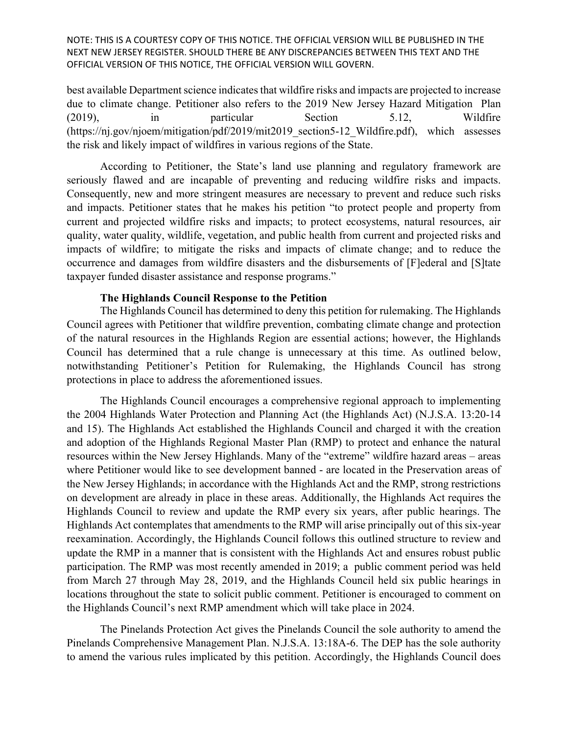NOTE: THIS IS A COURTESY COPY OF THIS NOTICE. THE OFFICIAL VERSION WILL BE PUBLISHED IN THE NEXT NEW JERSEY REGISTER. SHOULD THERE BE ANY DISCREPANCIES BETWEEN THIS TEXT AND THE OFFICIAL VERSION OF THIS NOTICE, THE OFFICIAL VERSION WILL GOVERN.

best available Department science indicates that wildfire risks and impacts are projected to increase due to climate change. Petitioner also refers to the 2019 New Jersey Hazard Mitigation Plan (2019), in particular Section 5.12, Wildfire (https://nj.gov/njoem/mitigation/pdf/2019/mit2019\_section5-12\_Wildfire.pdf), which assesses the risk and likely impact of wildfires in various regions of the State.

According to Petitioner, the State's land use planning and regulatory framework are seriously flawed and are incapable of preventing and reducing wildfire risks and impacts. Consequently, new and more stringent measures are necessary to prevent and reduce such risks and impacts. Petitioner states that he makes his petition "to protect people and property from current and projected wildfire risks and impacts; to protect ecosystems, natural resources, air quality, water quality, wildlife, vegetation, and public health from current and projected risks and impacts of wildfire; to mitigate the risks and impacts of climate change; and to reduce the occurrence and damages from wildfire disasters and the disbursements of [F]ederal and [S]tate taxpayer funded disaster assistance and response programs."

## **The Highlands Council Response to the Petition**

The Highlands Council has determined to deny this petition for rulemaking. The Highlands Council agrees with Petitioner that wildfire prevention, combating climate change and protection of the natural resources in the Highlands Region are essential actions; however, the Highlands Council has determined that a rule change is unnecessary at this time. As outlined below, notwithstanding Petitioner's Petition for Rulemaking, the Highlands Council has strong protections in place to address the aforementioned issues.

The Highlands Council encourages a comprehensive regional approach to implementing the 2004 Highlands Water Protection and Planning Act (the Highlands Act) (N.J.S.A. 13:20-14 and 15). The Highlands Act established the Highlands Council and charged it with the creation and adoption of the Highlands Regional Master Plan (RMP) to protect and enhance the natural resources within the New Jersey Highlands. Many of the "extreme" wildfire hazard areas – areas where Petitioner would like to see development banned - are located in the Preservation areas of the New Jersey Highlands; in accordance with the Highlands Act and the RMP, strong restrictions on development are already in place in these areas. Additionally, the Highlands Act requires the Highlands Council to review and update the RMP every six years, after public hearings. The Highlands Act contemplates that amendments to the RMP will arise principally out of this six-year reexamination. Accordingly, the Highlands Council follows this outlined structure to review and update the RMP in a manner that is consistent with the Highlands Act and ensures robust public participation. The RMP was most recently amended in 2019; a public comment period was held from March 27 through May 28, 2019, and the Highlands Council held six public hearings in locations throughout the state to solicit public comment. Petitioner is encouraged to comment on the Highlands Council's next RMP amendment which will take place in 2024.

The Pinelands Protection Act gives the Pinelands Council the sole authority to amend the Pinelands Comprehensive Management Plan. N.J.S.A. 13:18A-6. The DEP has the sole authority to amend the various rules implicated by this petition. Accordingly, the Highlands Council does